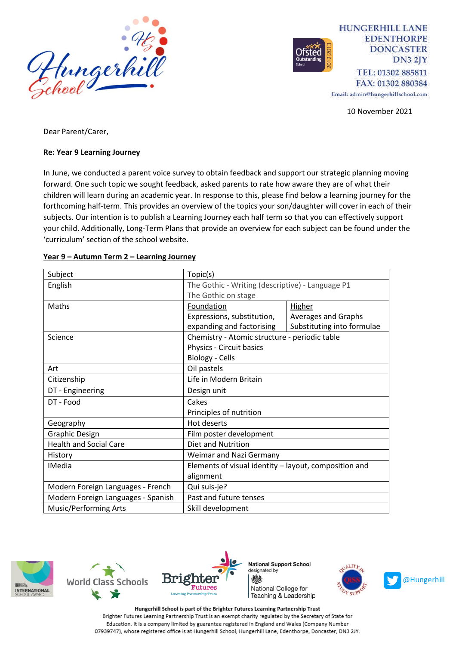

**HUNGERHILL LANE EDENTHORPE DONCASTER**  $DN32IY$ TEL: 01302 885811 FAX: 01302 880384

Email: admin@hungerhillschool.com

10 November 2021

Dear Parent/Carer,

## **Re: Year 9 Learning Journey**

In June, we conducted a parent voice survey to obtain feedback and support our strategic planning moving forward. One such topic we sought feedback, asked parents to rate how aware they are of what their children will learn during an academic year. In response to this, please find below a learning journey for the forthcoming half-term. This provides an overview of the topics your son/daughter will cover in each of their subjects. Our intention is to publish a Learning Journey each half term so that you can effectively support your child. Additionally, Long-Term Plans that provide an overview for each subject can be found under the 'curriculum' section of the school website.

| Subject                            | Topic(s)                                              |                            |
|------------------------------------|-------------------------------------------------------|----------------------------|
| English                            | The Gothic - Writing (descriptive) - Language P1      |                            |
|                                    | The Gothic on stage                                   |                            |
| Maths                              | Foundation                                            | <b>Higher</b>              |
|                                    | Expressions, substitution,                            | Averages and Graphs        |
|                                    | expanding and factorising                             | Substituting into formulae |
| Science                            | Chemistry - Atomic structure - periodic table         |                            |
|                                    | Physics - Circuit basics                              |                            |
|                                    | Biology - Cells                                       |                            |
| Art                                | Oil pastels                                           |                            |
| Citizenship                        | Life in Modern Britain                                |                            |
| DT - Engineering                   | Design unit                                           |                            |
| DT - Food                          | Cakes                                                 |                            |
|                                    | Principles of nutrition                               |                            |
| Geography                          | Hot deserts                                           |                            |
| <b>Graphic Design</b>              | Film poster development                               |                            |
| <b>Health and Social Care</b>      | Diet and Nutrition                                    |                            |
| History                            | Weimar and Nazi Germany                               |                            |
| <b>IMedia</b>                      | Elements of visual identity - layout, composition and |                            |
|                                    | alignment                                             |                            |
| Modern Foreign Languages - French  | Qui suis-je?                                          |                            |
| Modern Foreign Languages - Spanish | Past and future tenses                                |                            |
| <b>Music/Performing Arts</b>       | Skill development                                     |                            |

## **Year 9 – Autumn Term 2 – Learning Journey**







**National Support School** designated by 燃 National College for Teaching & Leadership



Hungerhill School is part of the Brighter Futures Learning Partnership Trust Brighter Futures Learning Partnership Trust is an exempt charity regulated by the Secretary of State for Education. It is a company limited by guarantee registered in England and Wales (Company Number 07939747), whose registered office is at Hungerhill School, Hungerhill Lane, Edenthorpe, Doncaster, DN3 2JY.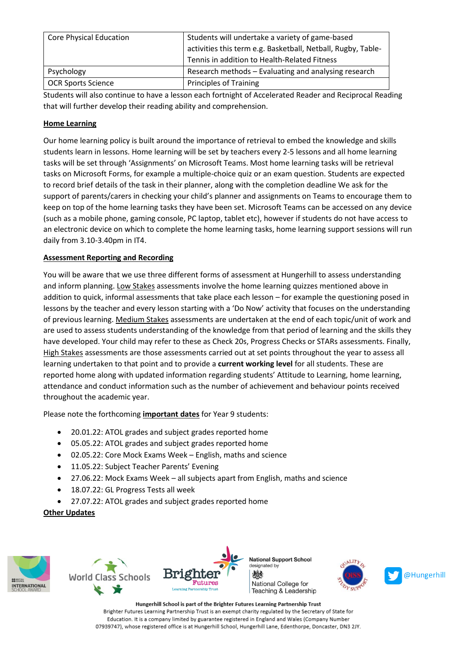| <b>Core Physical Education</b> | Students will undertake a variety of game-based<br>activities this term e.g. Basketball, Netball, Rugby, Table-<br>Tennis in addition to Health-Related Fitness |
|--------------------------------|-----------------------------------------------------------------------------------------------------------------------------------------------------------------|
| Psychology                     | Research methods – Evaluating and analysing research                                                                                                            |
| <b>OCR Sports Science</b>      | <b>Principles of Training</b>                                                                                                                                   |

Students will also continue to have a lesson each fortnight of Accelerated Reader and Reciprocal Reading that will further develop their reading ability and comprehension.

## **Home Learning**

Our home learning policy is built around the importance of retrieval to embed the knowledge and skills students learn in lessons. Home learning will be set by teachers every 2-5 lessons and all home learning tasks will be set through 'Assignments' on Microsoft Teams. Most home learning tasks will be retrieval tasks on Microsoft Forms, for example a multiple-choice quiz or an exam question. Students are expected to record brief details of the task in their planner, along with the completion deadline We ask for the support of parents/carers in checking your child's planner and assignments on Teams to encourage them to keep on top of the home learning tasks they have been set. Microsoft Teams can be accessed on any device (such as a mobile phone, gaming console, PC laptop, tablet etc), however if students do not have access to an electronic device on which to complete the home learning tasks, home learning support sessions will run daily from 3.10-3.40pm in IT4.

## **Assessment Reporting and Recording**

You will be aware that we use three different forms of assessment at Hungerhill to assess understanding and inform planning. Low Stakes assessments involve the home learning quizzes mentioned above in addition to quick, informal assessments that take place each lesson – for example the questioning posed in lessons by the teacher and every lesson starting with a 'Do Now' activity that focuses on the understanding of previous learning. Medium Stakes assessments are undertaken at the end of each topic/unit of work and are used to assess students understanding of the knowledge from that period of learning and the skills they have developed. Your child may refer to these as Check 20s, Progress Checks or STARs assessments. Finally, High Stakes assessments are those assessments carried out at set points throughout the year to assess all learning undertaken to that point and to provide a **current working level** for all students. These are reported home along with updated information regarding students' Attitude to Learning, home learning, attendance and conduct information such as the number of achievement and behaviour points received throughout the academic year.

Please note the forthcoming **important dates** for Year 9 students:

- 20.01.22: ATOL grades and subject grades reported home
- 05.05.22: ATOL grades and subject grades reported home
- 02.05.22: Core Mock Exams Week English, maths and science
- 11.05.22: Subject Teacher Parents' Evening
- 27.06.22: Mock Exams Week all subjects apart from English, maths and science
- 18.07.22: GL Progress Tests all week
- 27.07.22: ATOL grades and subject grades reported home

**Other Updates**









Hungerhill School is part of the Brighter Futures Learning Partnership Trust Brighter Futures Learning Partnership Trust is an exempt charity regulated by the Secretary of State for Education. It is a company limited by guarantee registered in England and Wales (Company Number 07939747), whose registered office is at Hungerhill School, Hungerhill Lane, Edenthorpe, Doncaster, DN3 2JY.